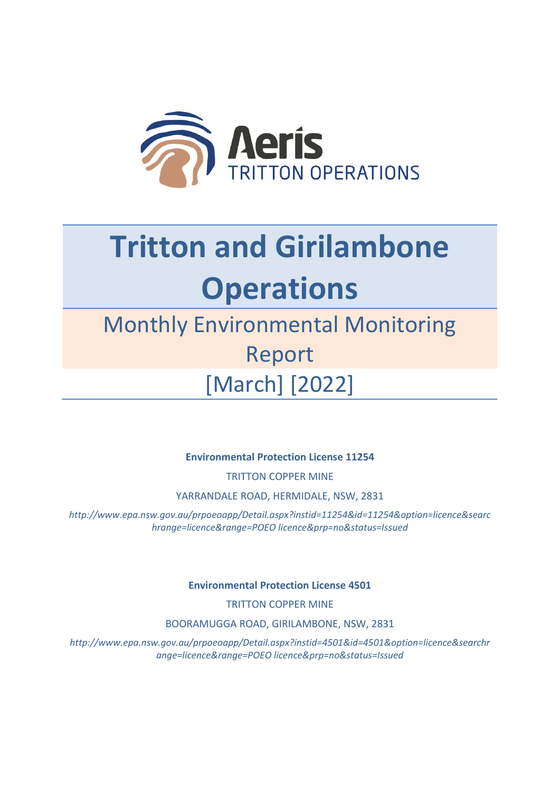

## **Tritton and Girilambone Operations**

## Monthly Environmental Monitoring Report [March] [2022]

**Environmental Protection License 11254**

TRITTON COPPER MINE

YARRANDALE ROAD, HERMIDALE, NSW, 2831

*http://www.epa.nsw.gov.au/prpoeoapp/Detail.aspx?instid=11254&id=11254&option=licence&searc hrange=licence&range=POEO licence&prp=no&status=Issued*

**Environmental Protection License 4501**

TRITTON COPPER MINE

BOORAMUGGA ROAD, GIRILAMBONE, NSW, 2831

*http://www.epa.nsw.gov.au/prpoeoapp/Detail.aspx?instid=4501&id=4501&option=licence&searchr ange=licence&range=POEO licence&prp=no&status=Issued*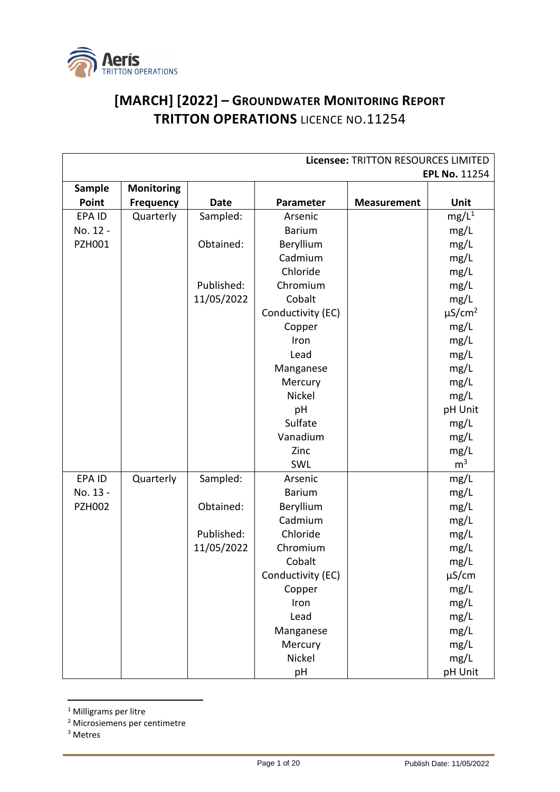

## **[MARCH] [2022] – GROUNDWATER MONITORING REPORT TRITTON OPERATIONS** LICENCE NO.11254

|               | Licensee: TRITTON RESOURCES LIMITED |             |                   |                    |                         |
|---------------|-------------------------------------|-------------|-------------------|--------------------|-------------------------|
|               |                                     |             |                   |                    | <b>EPL No. 11254</b>    |
| <b>Sample</b> | Monitoring                          |             |                   |                    |                         |
| Point         | <b>Frequency</b>                    | <b>Date</b> | Parameter         | <b>Measurement</b> | Unit                    |
| EPA ID        | Quarterly                           | Sampled:    | Arsenic           |                    | mg/L <sup>1</sup>       |
| No. 12 -      |                                     |             | <b>Barium</b>     |                    | mg/L                    |
| <b>PZH001</b> |                                     | Obtained:   | Beryllium         |                    | mg/L                    |
|               |                                     |             | Cadmium           |                    | mg/L                    |
|               |                                     |             | Chloride          |                    | mg/L                    |
|               |                                     | Published:  | Chromium          |                    | mg/L                    |
|               |                                     | 11/05/2022  | Cobalt            |                    | mg/L                    |
|               |                                     |             | Conductivity (EC) |                    | $\mu$ S/cm <sup>2</sup> |
|               |                                     |             | Copper            |                    | mg/L                    |
|               |                                     |             | Iron              |                    | mg/L                    |
|               |                                     |             | Lead              |                    | mg/L                    |
|               |                                     |             | Manganese         |                    | mg/L                    |
|               |                                     |             | Mercury           |                    | mg/L                    |
|               |                                     |             | Nickel            |                    | mg/L                    |
|               |                                     |             | pH                |                    | pH Unit                 |
|               |                                     |             | Sulfate           |                    | mg/L                    |
|               |                                     |             | Vanadium          |                    | mg/L                    |
|               |                                     |             | Zinc              |                    | mg/L                    |
|               |                                     |             | SWL               |                    | m <sup>3</sup>          |
| EPA ID        | Quarterly                           | Sampled:    | Arsenic           |                    | mg/L                    |
| No. 13 -      |                                     |             | <b>Barium</b>     |                    | mg/L                    |
| <b>PZH002</b> |                                     | Obtained:   | Beryllium         |                    | mg/L                    |
|               |                                     |             | Cadmium           |                    | mg/L                    |
|               |                                     | Published:  | Chloride          |                    | mg/L                    |
|               |                                     | 11/05/2022  | Chromium          |                    | mg/L                    |
|               |                                     |             | Cobalt            |                    | mg/L                    |
|               |                                     |             | Conductivity (EC) |                    | $\mu$ S/cm              |
|               |                                     |             | Copper            |                    | mg/L                    |
|               |                                     |             | Iron              |                    | mg/L                    |
|               |                                     |             | Lead              |                    | mg/L                    |
|               |                                     |             | Manganese         |                    | mg/L                    |
|               |                                     |             | Mercury           |                    | mg/L                    |
|               |                                     |             | Nickel            |                    | mg/L                    |
|               |                                     |             | pH                |                    | pH Unit                 |

<sup>1</sup> Milligrams per litre

<sup>2</sup> Microsiemens per centimetre

<sup>3</sup> Metres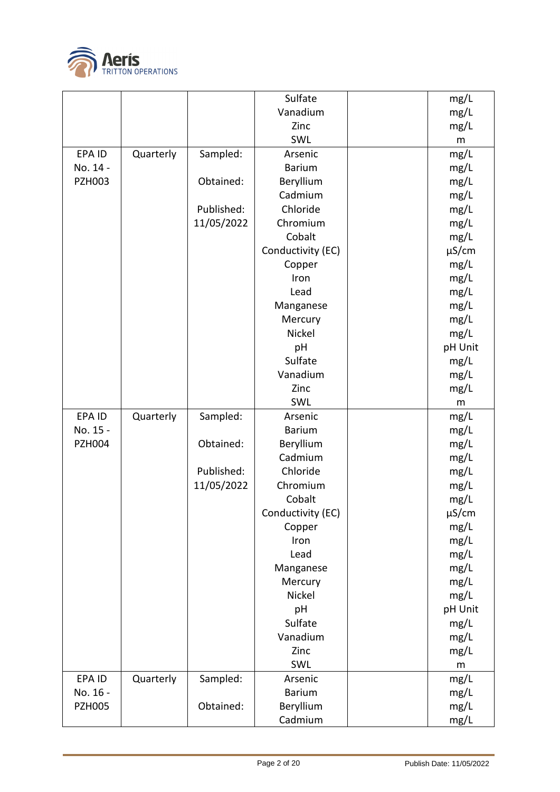

|               |           |            | Sulfate           | mg/L       |
|---------------|-----------|------------|-------------------|------------|
|               |           |            | Vanadium          | mg/L       |
|               |           |            | Zinc              | mg/L       |
|               |           |            | SWL               | ${\sf m}$  |
| EPA ID        | Quarterly | Sampled:   | Arsenic           | mg/L       |
| No. 14 -      |           |            | <b>Barium</b>     | mg/L       |
| <b>PZH003</b> |           | Obtained:  | Beryllium         | mg/L       |
|               |           |            | Cadmium           | mg/L       |
|               |           | Published: | Chloride          | mg/L       |
|               |           | 11/05/2022 | Chromium          | mg/L       |
|               |           |            | Cobalt            | mg/L       |
|               |           |            | Conductivity (EC) | $\mu$ S/cm |
|               |           |            | Copper            | mg/L       |
|               |           |            | Iron              | mg/L       |
|               |           |            | Lead              | mg/L       |
|               |           |            | Manganese         | mg/L       |
|               |           |            | Mercury           | mg/L       |
|               |           |            | Nickel            | mg/L       |
|               |           |            | pH                | pH Unit    |
|               |           |            | Sulfate           | mg/L       |
|               |           |            | Vanadium          | mg/L       |
|               |           |            | Zinc              | mg/L       |
|               |           |            | SWL               | m          |
| EPA ID        | Quarterly | Sampled:   | Arsenic           | mg/L       |
| No. 15 -      |           |            | <b>Barium</b>     | mg/L       |
|               |           |            |                   |            |
| <b>PZH004</b> |           | Obtained:  | Beryllium         | mg/L       |
|               |           |            | Cadmium           | mg/L       |
|               |           | Published: | Chloride          | mg/L       |
|               |           | 11/05/2022 | Chromium          | mg/L       |
|               |           |            | Cobalt            | mg/L       |
|               |           |            | Conductivity (EC) | $\mu$ S/cm |
|               |           |            | Copper            | mg/L       |
|               |           |            | Iron              | mg/L       |
|               |           |            | Lead              | mg/L       |
|               |           |            | Manganese         | mg/L       |
|               |           |            | Mercury           | mg/L       |
|               |           |            | Nickel            | mg/L       |
|               |           |            | pH                | pH Unit    |
|               |           |            | Sulfate           | mg/L       |
|               |           |            | Vanadium          | mg/L       |
|               |           |            | Zinc              | mg/L       |
|               |           |            | SWL               | m          |
| EPA ID        | Quarterly | Sampled:   | Arsenic           | mg/L       |
| No. 16 -      |           |            | <b>Barium</b>     | mg/L       |
| <b>PZH005</b> |           | Obtained:  | Beryllium         | mg/L       |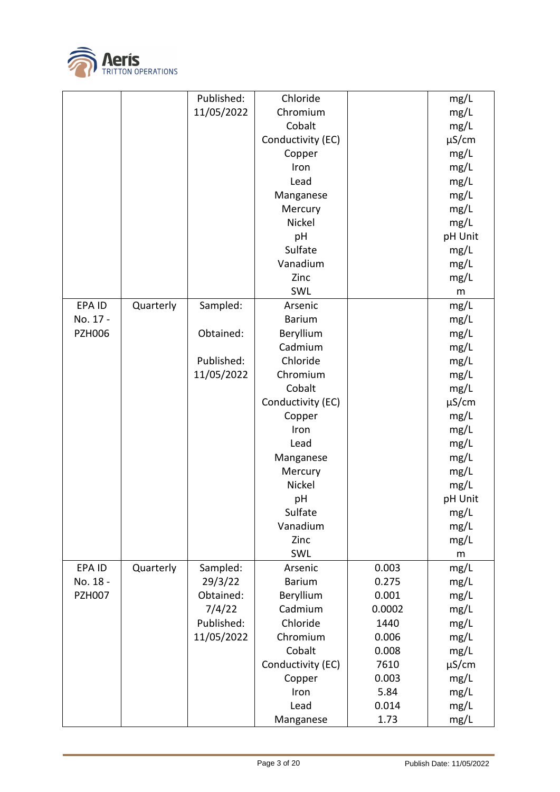

|               |           | Published: | Chloride          |        | mg/L       |
|---------------|-----------|------------|-------------------|--------|------------|
|               |           | 11/05/2022 | Chromium          |        | mg/L       |
|               |           |            | Cobalt            |        | mg/L       |
|               |           |            | Conductivity (EC) |        | $\mu$ S/cm |
|               |           |            | Copper            |        | mg/L       |
|               |           |            | Iron              |        | mg/L       |
|               |           |            | Lead              |        | mg/L       |
|               |           |            | Manganese         |        | mg/L       |
|               |           |            | Mercury           |        | mg/L       |
|               |           |            | Nickel            |        | mg/L       |
|               |           |            | pH                |        | pH Unit    |
|               |           |            | Sulfate           |        | mg/L       |
|               |           |            | Vanadium          |        | mg/L       |
|               |           |            | Zinc              |        | mg/L       |
|               |           |            | SWL               |        |            |
|               |           |            |                   |        | m          |
| EPA ID        | Quarterly | Sampled:   | Arsenic           |        | mg/L       |
| No. 17 -      |           |            | <b>Barium</b>     |        | mg/L       |
| <b>PZH006</b> |           | Obtained:  | Beryllium         |        | mg/L       |
|               |           |            | Cadmium           |        | mg/L       |
|               |           | Published: | Chloride          |        | mg/L       |
|               |           | 11/05/2022 | Chromium          |        | mg/L       |
|               |           |            | Cobalt            |        | mg/L       |
|               |           |            | Conductivity (EC) |        | $\mu$ S/cm |
|               |           |            | Copper            |        | mg/L       |
|               |           |            | Iron              |        | mg/L       |
|               |           |            | Lead              |        | mg/L       |
|               |           |            | Manganese         |        | mg/L       |
|               |           |            | Mercury           |        | mg/L       |
|               |           |            | Nickel            |        | mg/L       |
|               |           |            | pH                |        | pH Unit    |
|               |           |            | Sulfate           |        | mg/L       |
|               |           |            | Vanadium          |        | mg/L       |
|               |           |            | Zinc              |        | mg/L       |
|               |           |            | SWL               |        | m          |
| EPA ID        | Quarterly | Sampled:   | Arsenic           | 0.003  | mg/L       |
| No. 18 -      |           | 29/3/22    | <b>Barium</b>     | 0.275  | mg/L       |
| <b>PZH007</b> |           | Obtained:  | Beryllium         | 0.001  | mg/L       |
|               |           | 7/4/22     | Cadmium           | 0.0002 | mg/L       |
|               |           | Published: | Chloride          | 1440   | mg/L       |
|               |           | 11/05/2022 | Chromium          | 0.006  | mg/L       |
|               |           |            | Cobalt            | 0.008  | mg/L       |
|               |           |            | Conductivity (EC) | 7610   |            |
|               |           |            |                   | 0.003  | $\mu$ S/cm |
|               |           |            | Copper            |        | mg/L       |
|               |           |            | Iron              | 5.84   | mg/L       |
|               |           |            | Lead              | 0.014  | mg/L       |
|               |           |            | Manganese         | 1.73   | mg/L       |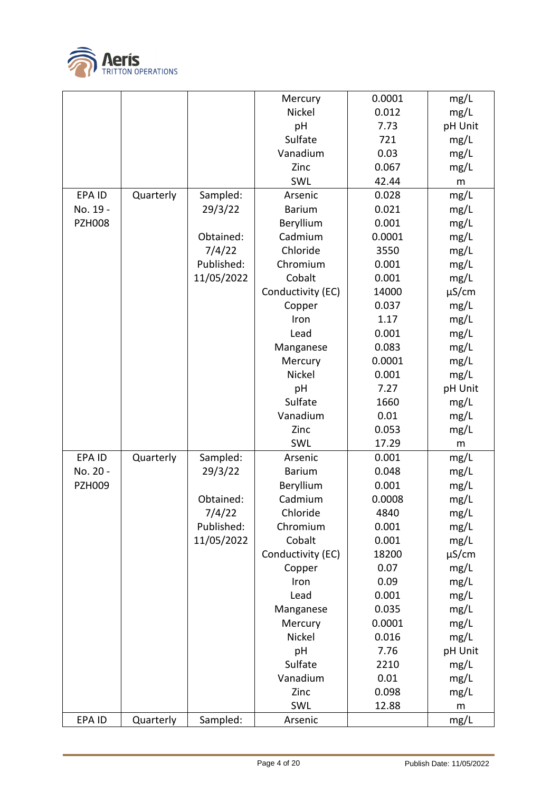

|               |           |            | Mercury           | 0.0001 | mg/L       |
|---------------|-----------|------------|-------------------|--------|------------|
|               |           |            | Nickel            | 0.012  | mg/L       |
|               |           |            | pH                | 7.73   | pH Unit    |
|               |           |            | Sulfate           | 721    | mg/L       |
|               |           |            | Vanadium          | 0.03   | mg/L       |
|               |           |            | Zinc              | 0.067  | mg/L       |
|               |           |            | SWL               | 42.44  | m          |
| <b>EPAID</b>  | Quarterly | Sampled:   | Arsenic           | 0.028  | mg/L       |
| No. 19 -      |           | 29/3/22    | <b>Barium</b>     | 0.021  | mg/L       |
| <b>PZH008</b> |           |            | Beryllium         | 0.001  | mg/L       |
|               |           | Obtained:  | Cadmium           | 0.0001 | mg/L       |
|               |           | 7/4/22     | Chloride          | 3550   | mg/L       |
|               |           | Published: | Chromium          | 0.001  | mg/L       |
|               |           | 11/05/2022 | Cobalt            | 0.001  | mg/L       |
|               |           |            | Conductivity (EC) | 14000  | $\mu$ S/cm |
|               |           |            | Copper            | 0.037  | mg/L       |
|               |           |            | Iron              | 1.17   | mg/L       |
|               |           |            | Lead              | 0.001  | mg/L       |
|               |           |            | Manganese         | 0.083  | mg/L       |
|               |           |            | Mercury           | 0.0001 | mg/L       |
|               |           |            | Nickel            | 0.001  | mg/L       |
|               |           |            | pH                | 7.27   | pH Unit    |
|               |           |            | Sulfate           | 1660   | mg/L       |
|               |           |            | Vanadium          | 0.01   | mg/L       |
|               |           |            | Zinc              | 0.053  | mg/L       |
|               |           |            | SWL               | 17.29  | m          |
| EPA ID        | Quarterly | Sampled:   | Arsenic           | 0.001  | mg/L       |
| No. 20 -      |           | 29/3/22    | <b>Barium</b>     | 0.048  | mg/L       |
| <b>PZH009</b> |           |            | Beryllium         | 0.001  | mg/L       |
|               |           | Obtained:  | Cadmium           | 0.0008 | mg/L       |
|               |           | 7/4/22     | Chloride          | 4840   | mg/L       |
|               |           | Published: | Chromium          | 0.001  | mg/L       |
|               |           | 11/05/2022 | Cobalt            | 0.001  | mg/L       |
|               |           |            | Conductivity (EC) | 18200  | $\mu$ S/cm |
|               |           |            | Copper            | 0.07   | mg/L       |
|               |           |            | Iron              | 0.09   | mg/L       |
|               |           |            | Lead              | 0.001  | mg/L       |
|               |           |            | Manganese         | 0.035  | mg/L       |
|               |           |            | Mercury           | 0.0001 | mg/L       |
|               |           |            | Nickel            | 0.016  | mg/L       |
|               |           |            | pH                | 7.76   | pH Unit    |
|               |           |            | Sulfate           | 2210   | mg/L       |
|               |           |            | Vanadium          | 0.01   | mg/L       |
|               |           |            | Zinc              | 0.098  | mg/L       |
|               |           |            | SWL               | 12.88  | ${\sf m}$  |
| EPA ID        | Quarterly | Sampled:   | Arsenic           |        | mg/L       |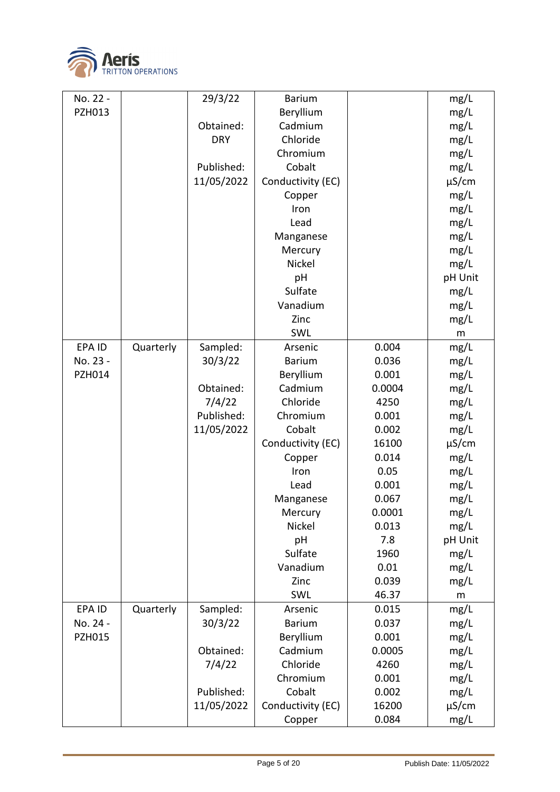

| No. 22 -      |           | 29/3/22    | <b>Barium</b>     |        | mg/L       |
|---------------|-----------|------------|-------------------|--------|------------|
| <b>PZH013</b> |           |            | Beryllium         |        | mg/L       |
|               |           | Obtained:  | Cadmium           |        | mg/L       |
|               |           | <b>DRY</b> | Chloride          |        | mg/L       |
|               |           |            | Chromium          |        | mg/L       |
|               |           | Published: | Cobalt            |        | mg/L       |
|               |           | 11/05/2022 | Conductivity (EC) |        | $\mu$ S/cm |
|               |           |            | Copper            |        | mg/L       |
|               |           |            | Iron              |        | mg/L       |
|               |           |            | Lead              |        | mg/L       |
|               |           |            | Manganese         |        | mg/L       |
|               |           |            | Mercury           |        | mg/L       |
|               |           |            | Nickel            |        | mg/L       |
|               |           |            | pH                |        | pH Unit    |
|               |           |            | Sulfate           |        | mg/L       |
|               |           |            | Vanadium          |        | mg/L       |
|               |           |            | Zinc              |        | mg/L       |
|               |           |            | SWL               |        | m          |
| EPA ID        | Quarterly | Sampled:   | Arsenic           | 0.004  | mg/L       |
| No. 23 -      |           | 30/3/22    | <b>Barium</b>     | 0.036  | mg/L       |
| <b>PZH014</b> |           |            | Beryllium         | 0.001  | mg/L       |
|               |           | Obtained:  | Cadmium           | 0.0004 | mg/L       |
|               |           | 7/4/22     | Chloride          | 4250   | mg/L       |
|               |           | Published: | Chromium          | 0.001  | mg/L       |
|               |           | 11/05/2022 | Cobalt            | 0.002  | mg/L       |
|               |           |            | Conductivity (EC) | 16100  | $\mu$ S/cm |
|               |           |            | Copper            | 0.014  | mg/L       |
|               |           |            | Iron              | 0.05   | mg/L       |
|               |           |            | Lead              | 0.001  | mg/L       |
|               |           |            | Manganese         | 0.067  | mg/L       |
|               |           |            | Mercury           | 0.0001 | mg/L       |
|               |           |            | Nickel            | 0.013  | mg/L       |
|               |           |            | pH                | 7.8    | pH Unit    |
|               |           |            | Sulfate           | 1960   | mg/L       |
|               |           |            | Vanadium          | 0.01   | mg/L       |
|               |           |            | Zinc              | 0.039  | mg/L       |
|               |           |            | SWL               | 46.37  | ${\sf m}$  |
| EPA ID        | Quarterly | Sampled:   | Arsenic           | 0.015  | mg/L       |
| No. 24 -      |           | 30/3/22    | <b>Barium</b>     | 0.037  | mg/L       |
| <b>PZH015</b> |           |            | Beryllium         | 0.001  | mg/L       |
|               |           | Obtained:  | Cadmium           | 0.0005 | mg/L       |
|               |           | 7/4/22     | Chloride          | 4260   | mg/L       |
|               |           |            | Chromium          | 0.001  | mg/L       |
|               |           | Published: | Cobalt            | 0.002  | mg/L       |
|               |           | 11/05/2022 | Conductivity (EC) | 16200  | $\mu$ S/cm |
|               |           |            | Copper            | 0.084  | mg/L       |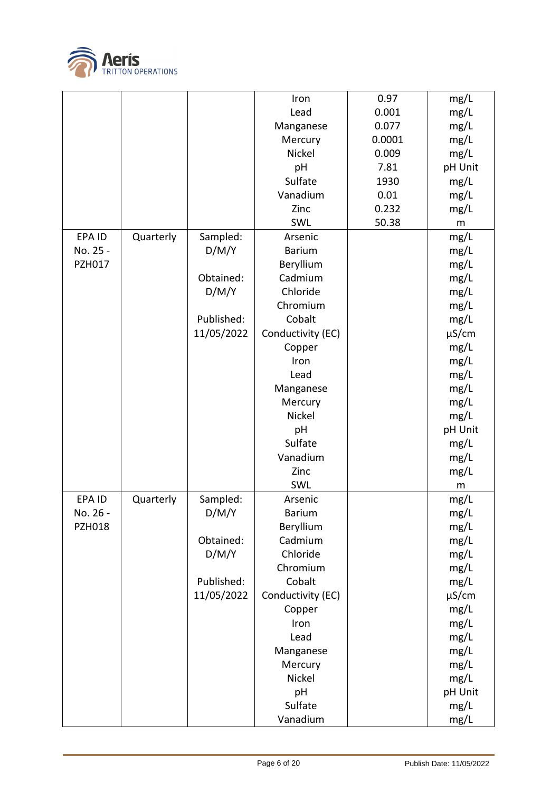

| 0.97<br>mg/L<br>Iron<br>0.001<br>Lead<br>mg/L<br>0.077<br>Manganese<br>mg/L<br>0.0001<br>mg/L<br>Mercury<br>Nickel<br>0.009<br>mg/L<br>7.81<br>pH Unit<br>pH<br>Sulfate<br>1930<br>mg/L<br>Vanadium<br>0.01<br>mg/L<br>0.232<br>mg/L<br>Zinc<br>50.38<br>SWL<br>m<br><b>EPAID</b><br>Sampled:<br>mg/L<br>Quarterly<br>Arsenic<br>No. 25 -<br>D/M/Y<br><b>Barium</b><br>mg/L<br><b>PZH017</b><br>Beryllium<br>mg/L<br>Obtained:<br>Cadmium<br>mg/L<br>D/M/Y<br>Chloride<br>mg/L<br>Chromium<br>mg/L<br>Published:<br>Cobalt<br>mg/L<br>11/05/2022<br>Conductivity (EC)<br>$\mu$ S/cm<br>mg/L<br>Copper<br>mg/L<br>Iron<br>mg/L<br>Lead<br>mg/L<br>Manganese<br>mg/L<br>Mercury<br>Nickel<br>mg/L<br>pH Unit<br>pH<br>Sulfate<br>mg/L<br>Vanadium<br>mg/L<br>mg/L<br>Zinc<br>SWL<br>m<br>EPA ID<br>Quarterly<br>Sampled:<br>Arsenic<br>mg/L<br>D/M/Y<br>No. 26 -<br><b>Barium</b><br>mg/L<br><b>PZH018</b><br>Beryllium<br>mg/L<br>Obtained:<br>Cadmium<br>mg/L<br>D/M/Y<br>Chloride<br>mg/L<br>Chromium<br>mg/L<br>Published:<br>Cobalt<br>mg/L<br>11/05/2022<br>Conductivity (EC)<br>$\mu$ S/cm<br>mg/L<br>Copper<br>mg/L<br>Iron<br>Lead<br>mg/L<br>Manganese<br>mg/L<br>mg/L<br>Mercury<br>Nickel<br>mg/L<br>pH Unit<br>pH<br>Sulfate<br>mg/L<br>Vanadium<br>mg/L |  |  |  |
|---------------------------------------------------------------------------------------------------------------------------------------------------------------------------------------------------------------------------------------------------------------------------------------------------------------------------------------------------------------------------------------------------------------------------------------------------------------------------------------------------------------------------------------------------------------------------------------------------------------------------------------------------------------------------------------------------------------------------------------------------------------------------------------------------------------------------------------------------------------------------------------------------------------------------------------------------------------------------------------------------------------------------------------------------------------------------------------------------------------------------------------------------------------------------------------------------------------------------------------------------------------------|--|--|--|
|                                                                                                                                                                                                                                                                                                                                                                                                                                                                                                                                                                                                                                                                                                                                                                                                                                                                                                                                                                                                                                                                                                                                                                                                                                                                     |  |  |  |
|                                                                                                                                                                                                                                                                                                                                                                                                                                                                                                                                                                                                                                                                                                                                                                                                                                                                                                                                                                                                                                                                                                                                                                                                                                                                     |  |  |  |
|                                                                                                                                                                                                                                                                                                                                                                                                                                                                                                                                                                                                                                                                                                                                                                                                                                                                                                                                                                                                                                                                                                                                                                                                                                                                     |  |  |  |
|                                                                                                                                                                                                                                                                                                                                                                                                                                                                                                                                                                                                                                                                                                                                                                                                                                                                                                                                                                                                                                                                                                                                                                                                                                                                     |  |  |  |
|                                                                                                                                                                                                                                                                                                                                                                                                                                                                                                                                                                                                                                                                                                                                                                                                                                                                                                                                                                                                                                                                                                                                                                                                                                                                     |  |  |  |
|                                                                                                                                                                                                                                                                                                                                                                                                                                                                                                                                                                                                                                                                                                                                                                                                                                                                                                                                                                                                                                                                                                                                                                                                                                                                     |  |  |  |
|                                                                                                                                                                                                                                                                                                                                                                                                                                                                                                                                                                                                                                                                                                                                                                                                                                                                                                                                                                                                                                                                                                                                                                                                                                                                     |  |  |  |
|                                                                                                                                                                                                                                                                                                                                                                                                                                                                                                                                                                                                                                                                                                                                                                                                                                                                                                                                                                                                                                                                                                                                                                                                                                                                     |  |  |  |
|                                                                                                                                                                                                                                                                                                                                                                                                                                                                                                                                                                                                                                                                                                                                                                                                                                                                                                                                                                                                                                                                                                                                                                                                                                                                     |  |  |  |
|                                                                                                                                                                                                                                                                                                                                                                                                                                                                                                                                                                                                                                                                                                                                                                                                                                                                                                                                                                                                                                                                                                                                                                                                                                                                     |  |  |  |
|                                                                                                                                                                                                                                                                                                                                                                                                                                                                                                                                                                                                                                                                                                                                                                                                                                                                                                                                                                                                                                                                                                                                                                                                                                                                     |  |  |  |
|                                                                                                                                                                                                                                                                                                                                                                                                                                                                                                                                                                                                                                                                                                                                                                                                                                                                                                                                                                                                                                                                                                                                                                                                                                                                     |  |  |  |
|                                                                                                                                                                                                                                                                                                                                                                                                                                                                                                                                                                                                                                                                                                                                                                                                                                                                                                                                                                                                                                                                                                                                                                                                                                                                     |  |  |  |
|                                                                                                                                                                                                                                                                                                                                                                                                                                                                                                                                                                                                                                                                                                                                                                                                                                                                                                                                                                                                                                                                                                                                                                                                                                                                     |  |  |  |
|                                                                                                                                                                                                                                                                                                                                                                                                                                                                                                                                                                                                                                                                                                                                                                                                                                                                                                                                                                                                                                                                                                                                                                                                                                                                     |  |  |  |
|                                                                                                                                                                                                                                                                                                                                                                                                                                                                                                                                                                                                                                                                                                                                                                                                                                                                                                                                                                                                                                                                                                                                                                                                                                                                     |  |  |  |
|                                                                                                                                                                                                                                                                                                                                                                                                                                                                                                                                                                                                                                                                                                                                                                                                                                                                                                                                                                                                                                                                                                                                                                                                                                                                     |  |  |  |
|                                                                                                                                                                                                                                                                                                                                                                                                                                                                                                                                                                                                                                                                                                                                                                                                                                                                                                                                                                                                                                                                                                                                                                                                                                                                     |  |  |  |
|                                                                                                                                                                                                                                                                                                                                                                                                                                                                                                                                                                                                                                                                                                                                                                                                                                                                                                                                                                                                                                                                                                                                                                                                                                                                     |  |  |  |
|                                                                                                                                                                                                                                                                                                                                                                                                                                                                                                                                                                                                                                                                                                                                                                                                                                                                                                                                                                                                                                                                                                                                                                                                                                                                     |  |  |  |
|                                                                                                                                                                                                                                                                                                                                                                                                                                                                                                                                                                                                                                                                                                                                                                                                                                                                                                                                                                                                                                                                                                                                                                                                                                                                     |  |  |  |
|                                                                                                                                                                                                                                                                                                                                                                                                                                                                                                                                                                                                                                                                                                                                                                                                                                                                                                                                                                                                                                                                                                                                                                                                                                                                     |  |  |  |
|                                                                                                                                                                                                                                                                                                                                                                                                                                                                                                                                                                                                                                                                                                                                                                                                                                                                                                                                                                                                                                                                                                                                                                                                                                                                     |  |  |  |
|                                                                                                                                                                                                                                                                                                                                                                                                                                                                                                                                                                                                                                                                                                                                                                                                                                                                                                                                                                                                                                                                                                                                                                                                                                                                     |  |  |  |
|                                                                                                                                                                                                                                                                                                                                                                                                                                                                                                                                                                                                                                                                                                                                                                                                                                                                                                                                                                                                                                                                                                                                                                                                                                                                     |  |  |  |
|                                                                                                                                                                                                                                                                                                                                                                                                                                                                                                                                                                                                                                                                                                                                                                                                                                                                                                                                                                                                                                                                                                                                                                                                                                                                     |  |  |  |
|                                                                                                                                                                                                                                                                                                                                                                                                                                                                                                                                                                                                                                                                                                                                                                                                                                                                                                                                                                                                                                                                                                                                                                                                                                                                     |  |  |  |
|                                                                                                                                                                                                                                                                                                                                                                                                                                                                                                                                                                                                                                                                                                                                                                                                                                                                                                                                                                                                                                                                                                                                                                                                                                                                     |  |  |  |
|                                                                                                                                                                                                                                                                                                                                                                                                                                                                                                                                                                                                                                                                                                                                                                                                                                                                                                                                                                                                                                                                                                                                                                                                                                                                     |  |  |  |
|                                                                                                                                                                                                                                                                                                                                                                                                                                                                                                                                                                                                                                                                                                                                                                                                                                                                                                                                                                                                                                                                                                                                                                                                                                                                     |  |  |  |
|                                                                                                                                                                                                                                                                                                                                                                                                                                                                                                                                                                                                                                                                                                                                                                                                                                                                                                                                                                                                                                                                                                                                                                                                                                                                     |  |  |  |
|                                                                                                                                                                                                                                                                                                                                                                                                                                                                                                                                                                                                                                                                                                                                                                                                                                                                                                                                                                                                                                                                                                                                                                                                                                                                     |  |  |  |
|                                                                                                                                                                                                                                                                                                                                                                                                                                                                                                                                                                                                                                                                                                                                                                                                                                                                                                                                                                                                                                                                                                                                                                                                                                                                     |  |  |  |
|                                                                                                                                                                                                                                                                                                                                                                                                                                                                                                                                                                                                                                                                                                                                                                                                                                                                                                                                                                                                                                                                                                                                                                                                                                                                     |  |  |  |
|                                                                                                                                                                                                                                                                                                                                                                                                                                                                                                                                                                                                                                                                                                                                                                                                                                                                                                                                                                                                                                                                                                                                                                                                                                                                     |  |  |  |
|                                                                                                                                                                                                                                                                                                                                                                                                                                                                                                                                                                                                                                                                                                                                                                                                                                                                                                                                                                                                                                                                                                                                                                                                                                                                     |  |  |  |
|                                                                                                                                                                                                                                                                                                                                                                                                                                                                                                                                                                                                                                                                                                                                                                                                                                                                                                                                                                                                                                                                                                                                                                                                                                                                     |  |  |  |
|                                                                                                                                                                                                                                                                                                                                                                                                                                                                                                                                                                                                                                                                                                                                                                                                                                                                                                                                                                                                                                                                                                                                                                                                                                                                     |  |  |  |
|                                                                                                                                                                                                                                                                                                                                                                                                                                                                                                                                                                                                                                                                                                                                                                                                                                                                                                                                                                                                                                                                                                                                                                                                                                                                     |  |  |  |
|                                                                                                                                                                                                                                                                                                                                                                                                                                                                                                                                                                                                                                                                                                                                                                                                                                                                                                                                                                                                                                                                                                                                                                                                                                                                     |  |  |  |
|                                                                                                                                                                                                                                                                                                                                                                                                                                                                                                                                                                                                                                                                                                                                                                                                                                                                                                                                                                                                                                                                                                                                                                                                                                                                     |  |  |  |
|                                                                                                                                                                                                                                                                                                                                                                                                                                                                                                                                                                                                                                                                                                                                                                                                                                                                                                                                                                                                                                                                                                                                                                                                                                                                     |  |  |  |
|                                                                                                                                                                                                                                                                                                                                                                                                                                                                                                                                                                                                                                                                                                                                                                                                                                                                                                                                                                                                                                                                                                                                                                                                                                                                     |  |  |  |
|                                                                                                                                                                                                                                                                                                                                                                                                                                                                                                                                                                                                                                                                                                                                                                                                                                                                                                                                                                                                                                                                                                                                                                                                                                                                     |  |  |  |
|                                                                                                                                                                                                                                                                                                                                                                                                                                                                                                                                                                                                                                                                                                                                                                                                                                                                                                                                                                                                                                                                                                                                                                                                                                                                     |  |  |  |
|                                                                                                                                                                                                                                                                                                                                                                                                                                                                                                                                                                                                                                                                                                                                                                                                                                                                                                                                                                                                                                                                                                                                                                                                                                                                     |  |  |  |
|                                                                                                                                                                                                                                                                                                                                                                                                                                                                                                                                                                                                                                                                                                                                                                                                                                                                                                                                                                                                                                                                                                                                                                                                                                                                     |  |  |  |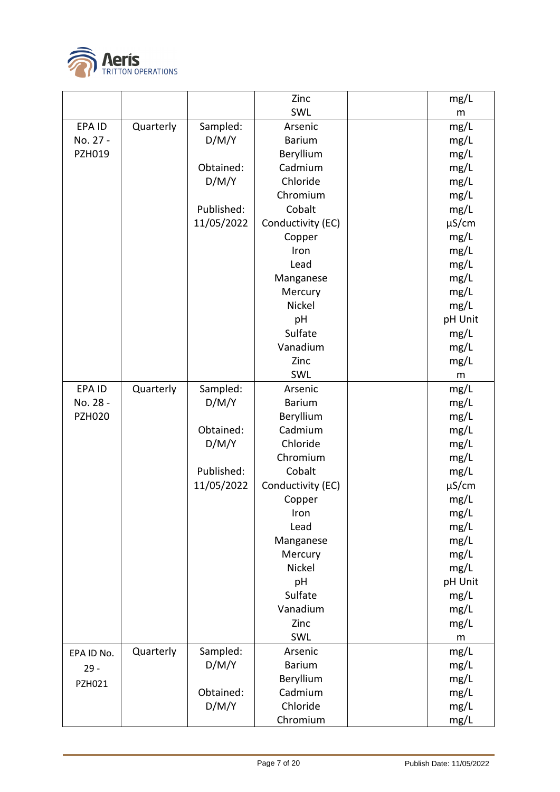

| pH Unit                  |
|--------------------------|
|                          |
|                          |
|                          |
|                          |
|                          |
|                          |
|                          |
|                          |
|                          |
|                          |
|                          |
|                          |
|                          |
|                          |
|                          |
|                          |
|                          |
|                          |
| pH Unit                  |
|                          |
|                          |
|                          |
|                          |
|                          |
|                          |
|                          |
|                          |
|                          |
|                          |
| $\mu$ S/cm<br>$\mu$ S/cm |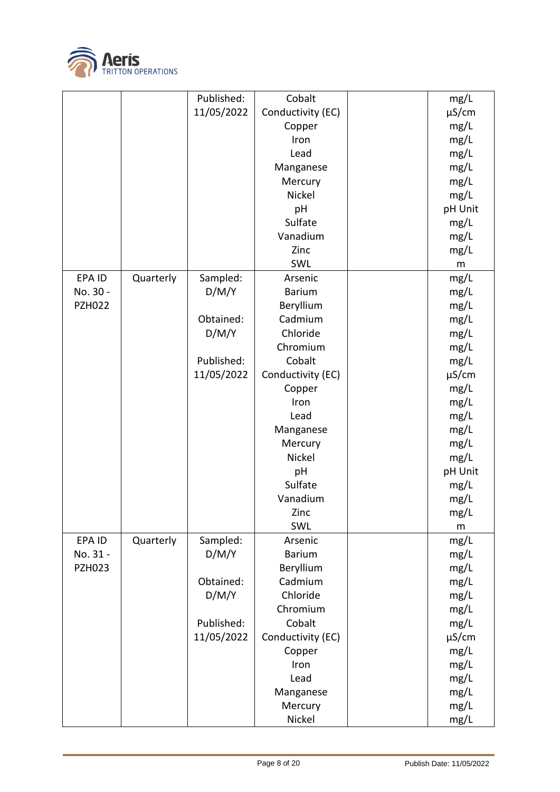

|               |           | Published:        | Cobalt              | mg/L       |
|---------------|-----------|-------------------|---------------------|------------|
|               |           | 11/05/2022        | Conductivity (EC)   | $\mu$ S/cm |
|               |           |                   | Copper              | mg/L       |
|               |           |                   | Iron                | mg/L       |
|               |           |                   | Lead                | mg/L       |
|               |           |                   | Manganese           | mg/L       |
|               |           |                   | Mercury             | mg/L       |
|               |           |                   | Nickel              | mg/L       |
|               |           |                   | pH                  | pH Unit    |
|               |           |                   | Sulfate             | mg/L       |
|               |           |                   | Vanadium            | mg/L       |
|               |           |                   | Zinc                | mg/L       |
|               |           |                   | SWL                 |            |
| EPA ID        | Quarterly |                   | Arsenic             | m          |
| No. 30 -      |           | Sampled:<br>D/M/Y | <b>Barium</b>       | mg/L       |
| <b>PZH022</b> |           |                   |                     | mg/L       |
|               |           | Obtained:         | Beryllium           | mg/L       |
|               |           |                   | Cadmium<br>Chloride | mg/L       |
|               |           | D/M/Y             |                     | mg/L       |
|               |           |                   | Chromium            | mg/L       |
|               |           | Published:        | Cobalt              | mg/L       |
|               |           | 11/05/2022        | Conductivity (EC)   | $\mu$ S/cm |
|               |           |                   | Copper              | mg/L       |
|               |           |                   | Iron                | mg/L       |
|               |           |                   | Lead                | mg/L       |
|               |           |                   | Manganese           | mg/L       |
|               |           |                   | Mercury             | mg/L       |
|               |           |                   | Nickel              | mg/L       |
|               |           |                   | pH                  | pH Unit    |
|               |           |                   | Sulfate             | mg/L       |
|               |           |                   | Vanadium            | mg/L       |
|               |           |                   | Zinc                | mg/L       |
|               |           |                   | SWL                 | ${\sf m}$  |
| EPA ID        | Quarterly | Sampled:          | Arsenic             | mg/L       |
| No. 31 -      |           | D/M/Y             | <b>Barium</b>       | mg/L       |
| <b>PZH023</b> |           |                   | Beryllium           | mg/L       |
|               |           | Obtained:         | Cadmium             | mg/L       |
|               |           | D/M/Y             | Chloride            | mg/L       |
|               |           |                   | Chromium            | mg/L       |
|               |           | Published:        | Cobalt              | mg/L       |
|               |           | 11/05/2022        | Conductivity (EC)   | $\mu$ S/cm |
|               |           |                   | Copper              | mg/L       |
|               |           |                   | Iron                | mg/L       |
|               |           |                   | Lead                | mg/L       |
|               |           |                   | Manganese           | mg/L       |
|               |           |                   | Mercury             | mg/L       |
|               |           |                   | Nickel              | mg/L       |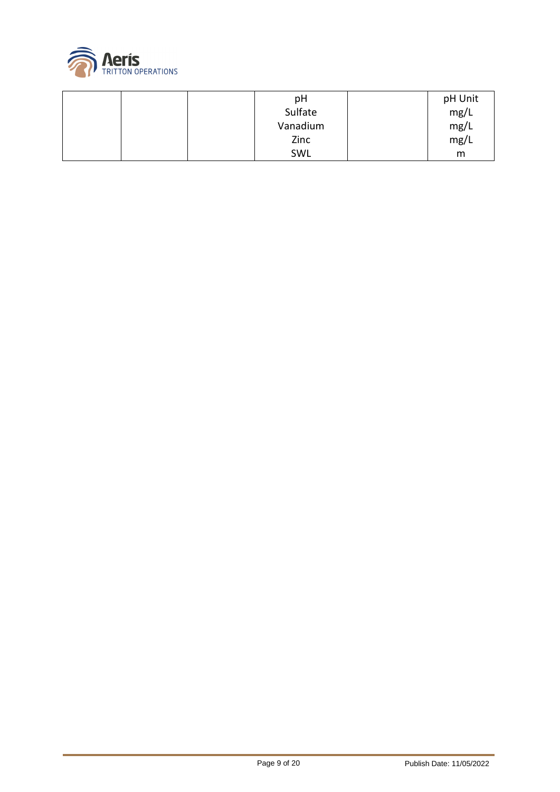

|  | pH       | pH Unit |
|--|----------|---------|
|  | Sulfate  | mg/L    |
|  | Vanadium | mg/L    |
|  | Zinc     | mg/L    |
|  | SWL      | m       |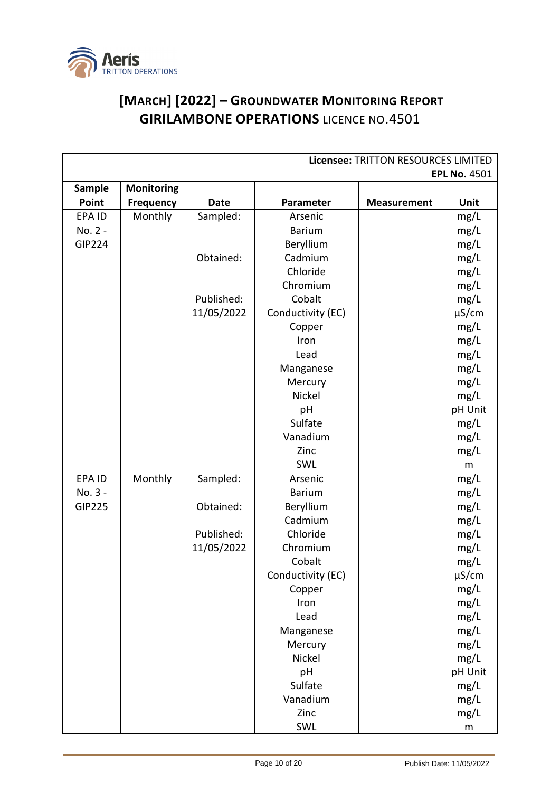

## **[MARCH] [2022] – GROUNDWATER MONITORING REPORT GIRILAMBONE OPERATIONS** LICENCE NO.4501

| Licensee: TRITTON RESOURCES LIMITED |                   |             |                   |                    |                     |
|-------------------------------------|-------------------|-------------|-------------------|--------------------|---------------------|
|                                     |                   |             |                   |                    | <b>EPL No. 4501</b> |
| Sample                              | <b>Monitoring</b> |             |                   |                    |                     |
| Point                               | <b>Frequency</b>  | <b>Date</b> | Parameter         | <b>Measurement</b> | Unit                |
| EPA ID                              | Monthly           | Sampled:    | Arsenic           |                    | mg/L                |
| No. 2 -                             |                   |             | <b>Barium</b>     |                    | mg/L                |
| <b>GIP224</b>                       |                   |             | Beryllium         |                    | mg/L                |
|                                     |                   | Obtained:   | Cadmium           |                    | mg/L                |
|                                     |                   |             | Chloride          |                    | mg/L                |
|                                     |                   |             | Chromium          |                    | mg/L                |
|                                     |                   | Published:  | Cobalt            |                    | mg/L                |
|                                     |                   | 11/05/2022  | Conductivity (EC) |                    | $\mu$ S/cm          |
|                                     |                   |             | Copper            |                    | mg/L                |
|                                     |                   |             | Iron              |                    | mg/L                |
|                                     |                   |             | Lead              |                    | mg/L                |
|                                     |                   |             | Manganese         |                    | mg/L                |
|                                     |                   |             | Mercury           |                    | mg/L                |
|                                     |                   |             | Nickel            |                    | mg/L                |
|                                     |                   |             | pH                |                    | pH Unit             |
|                                     |                   |             | Sulfate           |                    | mg/L                |
|                                     |                   |             | Vanadium          |                    | mg/L                |
|                                     |                   |             | Zinc              |                    | mg/L                |
|                                     |                   |             | SWL               |                    | m                   |
| EPA ID                              | Monthly           | Sampled:    | Arsenic           |                    | mg/L                |
| No. 3 -                             |                   |             | <b>Barium</b>     |                    | mg/L                |
| <b>GIP225</b>                       |                   | Obtained:   | Beryllium         |                    | mg/L                |
|                                     |                   |             | Cadmium           |                    | mg/L                |
|                                     |                   | Published:  | Chloride          |                    | mg/L                |
|                                     |                   | 11/05/2022  | Chromium          |                    | mg/L                |
|                                     |                   |             | Cobalt            |                    | mg/L                |
|                                     |                   |             | Conductivity (EC) |                    | $\mu$ S/cm          |
|                                     |                   |             | Copper            |                    | mg/L                |
|                                     |                   |             | Iron              |                    | mg/L                |
|                                     |                   |             | Lead              |                    | mg/L                |
|                                     |                   |             | Manganese         |                    | mg/L                |
|                                     |                   |             | Mercury           |                    | mg/L                |
|                                     |                   |             | Nickel            |                    | mg/L                |
|                                     |                   |             | pH                |                    | pH Unit             |
|                                     |                   |             | Sulfate           |                    | mg/L                |
|                                     |                   |             | Vanadium          |                    | mg/L                |
|                                     |                   |             | Zinc              |                    | mg/L                |
|                                     |                   |             | SWL               |                    | ${\sf m}$           |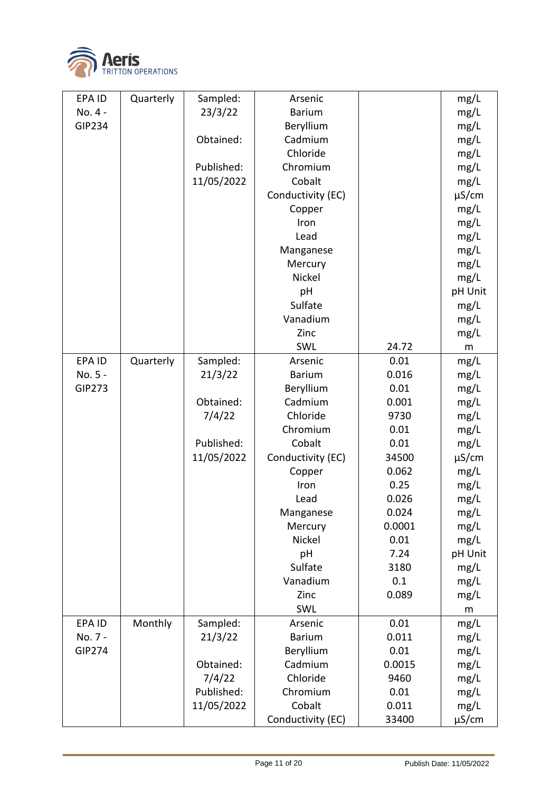

| EPA ID        | Quarterly | Sampled:   | Arsenic           |        | mg/L       |
|---------------|-----------|------------|-------------------|--------|------------|
| No. 4 -       |           | 23/3/22    | <b>Barium</b>     |        | mg/L       |
| GIP234        |           |            | Beryllium         |        | mg/L       |
|               |           | Obtained:  | Cadmium           |        | mg/L       |
|               |           |            | Chloride          |        | mg/L       |
|               |           | Published: | Chromium          |        | mg/L       |
|               |           | 11/05/2022 | Cobalt            |        | mg/L       |
|               |           |            | Conductivity (EC) |        | $\mu$ S/cm |
|               |           |            | Copper            |        | mg/L       |
|               |           |            | Iron              |        | mg/L       |
|               |           |            | Lead              |        | mg/L       |
|               |           |            | Manganese         |        | mg/L       |
|               |           |            | Mercury           |        | mg/L       |
|               |           |            | Nickel            |        | mg/L       |
|               |           |            | pH                |        | pH Unit    |
|               |           |            | Sulfate           |        | mg/L       |
|               |           |            | Vanadium          |        | mg/L       |
|               |           |            | Zinc              |        | mg/L       |
|               |           |            | SWL               | 24.72  | m          |
| EPA ID        | Quarterly | Sampled:   | Arsenic           | 0.01   | mg/L       |
| No. 5 -       |           | 21/3/22    | <b>Barium</b>     | 0.016  | mg/L       |
| <b>GIP273</b> |           |            | Beryllium         | 0.01   | mg/L       |
|               |           | Obtained:  | Cadmium           | 0.001  | mg/L       |
|               |           | 7/4/22     | Chloride          | 9730   | mg/L       |
|               |           |            | Chromium          | 0.01   | mg/L       |
|               |           | Published: | Cobalt            | 0.01   | mg/L       |
|               |           | 11/05/2022 | Conductivity (EC) | 34500  | $\mu$ S/cm |
|               |           |            | Copper            | 0.062  | mg/L       |
|               |           |            | Iron              | 0.25   | mg/L       |
|               |           |            | Lead              | 0.026  | mg/L       |
|               |           |            | Manganese         | 0.024  | mg/L       |
|               |           |            | Mercury           | 0.0001 | mg/L       |
|               |           |            | Nickel            | 0.01   | mg/L       |
|               |           |            | pH                | 7.24   | pH Unit    |
|               |           |            | Sulfate           | 3180   | mg/L       |
|               |           |            | Vanadium          | 0.1    | mg/L       |
|               |           |            | Zinc              | 0.089  | mg/L       |
|               |           |            | SWL               |        | m          |
| EPA ID        | Monthly   | Sampled:   | Arsenic           | 0.01   | mg/L       |
| No. 7 -       |           | 21/3/22    | <b>Barium</b>     | 0.011  | mg/L       |
| <b>GIP274</b> |           |            | Beryllium         | 0.01   | mg/L       |
|               |           | Obtained:  | Cadmium           | 0.0015 | mg/L       |
|               |           | 7/4/22     | Chloride          | 9460   | mg/L       |
|               |           | Published: | Chromium          | 0.01   | mg/L       |
|               |           | 11/05/2022 | Cobalt            | 0.011  | mg/L       |
|               |           |            | Conductivity (EC) | 33400  | $\mu$ S/cm |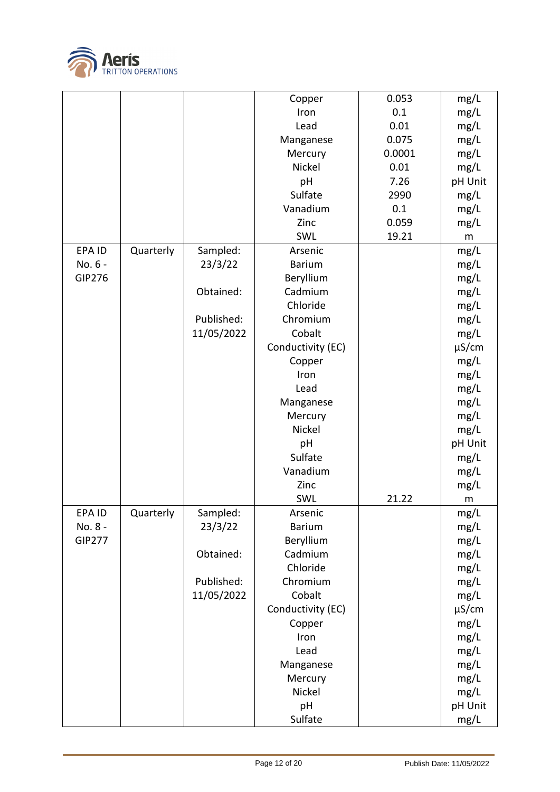

|               |           |            | Copper            | 0.053  | mg/L       |
|---------------|-----------|------------|-------------------|--------|------------|
|               |           |            | Iron              | 0.1    | mg/L       |
|               |           |            | Lead              | 0.01   | mg/L       |
|               |           |            | Manganese         | 0.075  | mg/L       |
|               |           |            | Mercury           | 0.0001 | mg/L       |
|               |           |            | Nickel            | 0.01   | mg/L       |
|               |           |            | pH                | 7.26   | pH Unit    |
|               |           |            | Sulfate           | 2990   | mg/L       |
|               |           |            | Vanadium          | 0.1    | mg/L       |
|               |           |            | Zinc              | 0.059  | mg/L       |
|               |           |            | SWL               | 19.21  | ${\sf m}$  |
| EPA ID        | Quarterly | Sampled:   | Arsenic           |        | mg/L       |
| No. 6 -       |           | 23/3/22    | <b>Barium</b>     |        | mg/L       |
| GIP276        |           |            | Beryllium         |        | mg/L       |
|               |           | Obtained:  | Cadmium           |        | mg/L       |
|               |           |            | Chloride          |        | mg/L       |
|               |           | Published: | Chromium          |        | mg/L       |
|               |           | 11/05/2022 | Cobalt            |        |            |
|               |           |            |                   |        | mg/L       |
|               |           |            | Conductivity (EC) |        | $\mu$ S/cm |
|               |           |            | Copper            |        | mg/L       |
|               |           |            | Iron              |        | mg/L       |
|               |           |            | Lead              |        | mg/L       |
|               |           |            | Manganese         |        | mg/L       |
|               |           |            | Mercury           |        | mg/L       |
|               |           |            | Nickel            |        | mg/L       |
|               |           |            | pH                |        | pH Unit    |
|               |           |            | Sulfate           |        | mg/L       |
|               |           |            | Vanadium          |        | mg/L       |
|               |           |            | Zinc              |        | mg/L       |
|               |           |            | SWL               | 21.22  | m          |
| EPA ID        | Quarterly | Sampled:   | Arsenic           |        | mg/L       |
| No. 8 -       |           | 23/3/22    | <b>Barium</b>     |        | mg/L       |
| <b>GIP277</b> |           |            | Beryllium         |        | mg/L       |
|               |           | Obtained:  | Cadmium           |        | mg/L       |
|               |           |            | Chloride          |        | mg/L       |
|               |           | Published: | Chromium          |        | mg/L       |
|               |           | 11/05/2022 | Cobalt            |        | mg/L       |
|               |           |            | Conductivity (EC) |        | µS/cm      |
|               |           |            | Copper            |        | mg/L       |
|               |           |            | Iron              |        | mg/L       |
|               |           |            | Lead              |        | mg/L       |
|               |           |            | Manganese         |        | mg/L       |
|               |           |            | Mercury           |        | mg/L       |
|               |           |            | Nickel            |        | mg/L       |
|               |           |            |                   |        |            |
|               |           |            | pH                |        | pH Unit    |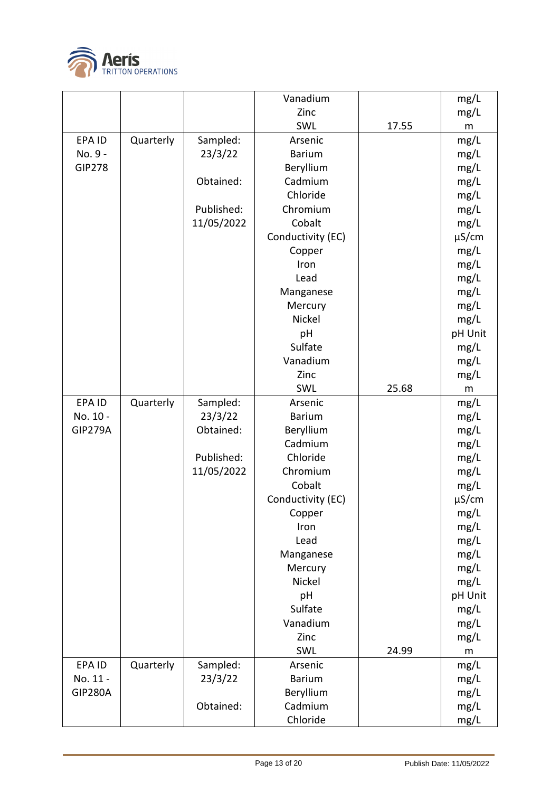

|                |           |            | Vanadium          |       | mg/L       |
|----------------|-----------|------------|-------------------|-------|------------|
|                |           |            | Zinc              |       | mg/L       |
|                |           |            | SWL               | 17.55 | m          |
| EPA ID         | Quarterly | Sampled:   | Arsenic           |       | mg/L       |
| No. 9 -        |           | 23/3/22    | <b>Barium</b>     |       | mg/L       |
| <b>GIP278</b>  |           |            | Beryllium         |       | mg/L       |
|                |           | Obtained:  | Cadmium           |       | mg/L       |
|                |           |            | Chloride          |       | mg/L       |
|                |           | Published: | Chromium          |       | mg/L       |
|                |           | 11/05/2022 | Cobalt            |       | mg/L       |
|                |           |            | Conductivity (EC) |       | $\mu$ S/cm |
|                |           |            | Copper            |       | mg/L       |
|                |           |            | Iron              |       | mg/L       |
|                |           |            | Lead              |       | mg/L       |
|                |           |            | Manganese         |       | mg/L       |
|                |           |            | Mercury           |       | mg/L       |
|                |           |            | Nickel            |       | mg/L       |
|                |           |            | pH                |       | pH Unit    |
|                |           |            | Sulfate           |       | mg/L       |
|                |           |            | Vanadium          |       | mg/L       |
|                |           |            | Zinc              |       | mg/L       |
|                |           |            | SWL               | 25.68 | m          |
| EPA ID         | Quarterly | Sampled:   | Arsenic           |       | mg/L       |
| No. 10 -       |           | 23/3/22    | <b>Barium</b>     |       | mg/L       |
| <b>GIP279A</b> |           | Obtained:  | Beryllium         |       | mg/L       |
|                |           |            | Cadmium           |       | mg/L       |
|                |           | Published: | Chloride          |       | mg/L       |
|                |           | 11/05/2022 | Chromium          |       | mg/L       |
|                |           |            | Cobalt            |       | mg/L       |
|                |           |            | Conductivity (EC) |       | $\mu$ S/cm |
|                |           |            | Copper            |       | mg/L       |
|                |           |            | Iron              |       | mg/L       |
|                |           |            | Lead              |       | mg/L       |
|                |           |            | Manganese         |       | mg/L       |
|                |           |            | Mercury           |       | mg/L       |
|                |           |            | Nickel            |       | mg/L       |
|                |           |            | pH                |       | pH Unit    |
|                |           |            | Sulfate           |       | mg/L       |
|                |           |            | Vanadium          |       | mg/L       |
|                |           |            | Zinc              |       | mg/L       |
|                |           |            | SWL               | 24.99 | m          |
| EPA ID         | Quarterly | Sampled:   | Arsenic           |       | mg/L       |
| No. 11 -       |           | 23/3/22    | <b>Barium</b>     |       | mg/L       |
| <b>GIP280A</b> |           |            | Beryllium         |       | mg/L       |
|                |           | Obtained:  | Cadmium           |       | mg/L       |
|                |           |            | Chloride          |       | mg/L       |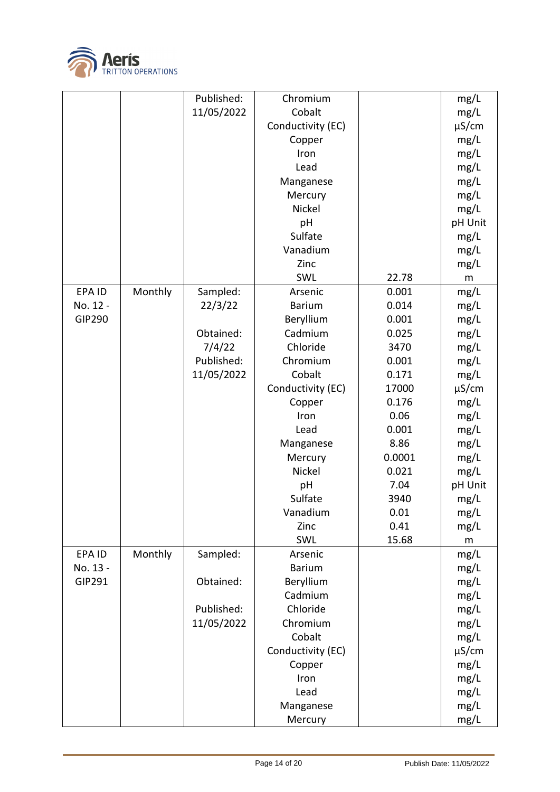

|               |         | Published: | Chromium          |        | mg/L       |
|---------------|---------|------------|-------------------|--------|------------|
|               |         | 11/05/2022 | Cobalt            |        | mg/L       |
|               |         |            | Conductivity (EC) |        | $\mu$ S/cm |
|               |         |            | Copper            |        | mg/L       |
|               |         |            | Iron              |        | mg/L       |
|               |         |            | Lead              |        | mg/L       |
|               |         |            | Manganese         |        | mg/L       |
|               |         |            | Mercury           |        | mg/L       |
|               |         |            | Nickel            |        | mg/L       |
|               |         |            | pH                |        | pH Unit    |
|               |         |            | Sulfate           |        | mg/L       |
|               |         |            | Vanadium          |        | mg/L       |
|               |         |            | Zinc              |        | mg/L       |
|               |         |            | SWL               | 22.78  | m          |
| EPA ID        | Monthly | Sampled:   | Arsenic           | 0.001  | mg/L       |
| No. 12 -      |         | 22/3/22    | <b>Barium</b>     | 0.014  | mg/L       |
| <b>GIP290</b> |         |            | Beryllium         | 0.001  | mg/L       |
|               |         | Obtained:  | Cadmium           | 0.025  | mg/L       |
|               |         | 7/4/22     | Chloride          | 3470   | mg/L       |
|               |         | Published: | Chromium          | 0.001  | mg/L       |
|               |         | 11/05/2022 | Cobalt            | 0.171  | mg/L       |
|               |         |            | Conductivity (EC) | 17000  | $\mu$ S/cm |
|               |         |            | Copper            | 0.176  | mg/L       |
|               |         |            | Iron              | 0.06   | mg/L       |
|               |         |            | Lead              | 0.001  | mg/L       |
|               |         |            | Manganese         | 8.86   | mg/L       |
|               |         |            | Mercury           | 0.0001 | mg/L       |
|               |         |            | Nickel            | 0.021  | mg/L       |
|               |         |            | pH                | 7.04   | pH Unit    |
|               |         |            | Sulfate           | 3940   | mg/L       |
|               |         |            | Vanadium          | 0.01   | mg/L       |
|               |         |            | Zinc              | 0.41   | mg/L       |
|               |         |            | SWL               | 15.68  | ${\sf m}$  |
| EPA ID        | Monthly | Sampled:   | Arsenic           |        | mg/L       |
| No. 13 -      |         |            | <b>Barium</b>     |        | mg/L       |
| GIP291        |         | Obtained:  | Beryllium         |        | mg/L       |
|               |         |            | Cadmium           |        | mg/L       |
|               |         | Published: | Chloride          |        | mg/L       |
|               |         | 11/05/2022 | Chromium          |        | mg/L       |
|               |         |            | Cobalt            |        | mg/L       |
|               |         |            | Conductivity (EC) |        | $\mu$ S/cm |
|               |         |            | Copper            |        | mg/L       |
|               |         |            | Iron              |        | mg/L       |
|               |         |            | Lead              |        | mg/L       |
|               |         |            | Manganese         |        | mg/L       |
|               |         |            | Mercury           |        | mg/L       |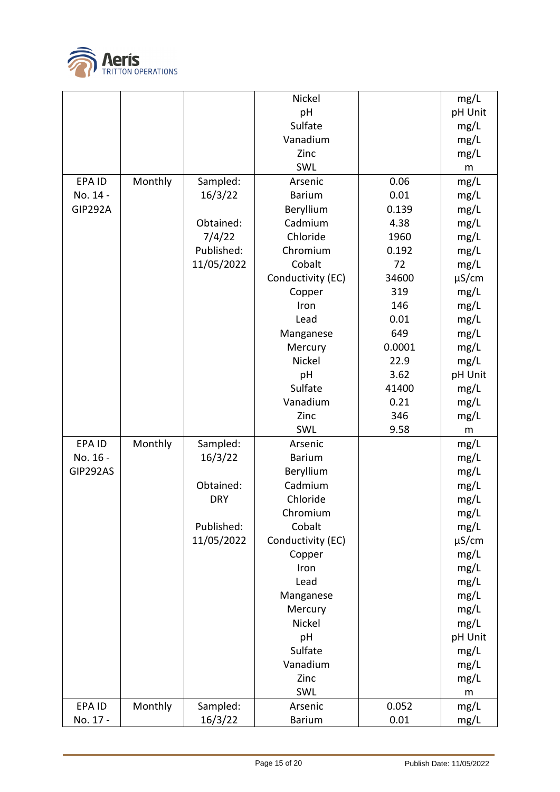

|                |         |            | Nickel            |        | mg/L       |
|----------------|---------|------------|-------------------|--------|------------|
|                |         |            | pH                |        | pH Unit    |
|                |         |            | Sulfate           |        | mg/L       |
|                |         |            | Vanadium          |        | mg/L       |
|                |         |            | Zinc              |        | mg/L       |
|                |         |            | SWL               |        | m          |
| EPA ID         | Monthly | Sampled:   | Arsenic           | 0.06   | mg/L       |
| No. 14 -       |         | 16/3/22    | <b>Barium</b>     | 0.01   | mg/L       |
| <b>GIP292A</b> |         |            | Beryllium         | 0.139  | mg/L       |
|                |         | Obtained:  | Cadmium           | 4.38   | mg/L       |
|                |         | 7/4/22     | Chloride          | 1960   | mg/L       |
|                |         | Published: | Chromium          | 0.192  | mg/L       |
|                |         | 11/05/2022 | Cobalt            | 72     | mg/L       |
|                |         |            | Conductivity (EC) | 34600  | $\mu$ S/cm |
|                |         |            | Copper            | 319    | mg/L       |
|                |         |            | Iron              | 146    | mg/L       |
|                |         |            | Lead              | 0.01   | mg/L       |
|                |         |            | Manganese         | 649    | mg/L       |
|                |         |            | Mercury           | 0.0001 | mg/L       |
|                |         |            | Nickel            | 22.9   | mg/L       |
|                |         |            | pH                | 3.62   | pH Unit    |
|                |         |            | Sulfate           | 41400  | mg/L       |
|                |         |            | Vanadium          | 0.21   | mg/L       |
|                |         |            | Zinc              | 346    | mg/L       |
|                |         |            | SWL               | 9.58   | m          |
| <b>EPAID</b>   | Monthly | Sampled:   | Arsenic           |        | mg/L       |
| No. 16 -       |         | 16/3/22    | <b>Barium</b>     |        | mg/L       |
| GIP292AS       |         |            | Beryllium         |        | mg/L       |
|                |         | Obtained:  | Cadmium           |        | mg/L       |
|                |         | <b>DRY</b> | Chloride          |        | mg/L       |
|                |         |            | Chromium          |        | mg/L       |
|                |         | Published: | Cobalt            |        | mg/L       |
|                |         | 11/05/2022 | Conductivity (EC) |        | $\mu$ S/cm |
|                |         |            | Copper            |        | mg/L       |
|                |         |            | Iron              |        | mg/L       |
|                |         |            | Lead              |        | mg/L       |
|                |         |            | Manganese         |        | mg/L       |
|                |         |            | Mercury           |        | mg/L       |
|                |         |            | Nickel            |        | mg/L       |
|                |         |            | pH                |        | pH Unit    |
|                |         |            | Sulfate           |        | mg/L       |
|                |         |            | Vanadium          |        | mg/L       |
|                |         |            | Zinc              |        | mg/L       |
|                |         |            | SWL               |        | m          |
| EPA ID         | Monthly | Sampled:   | Arsenic           | 0.052  | mg/L       |
| No. 17 -       |         | 16/3/22    | <b>Barium</b>     | 0.01   | mg/L       |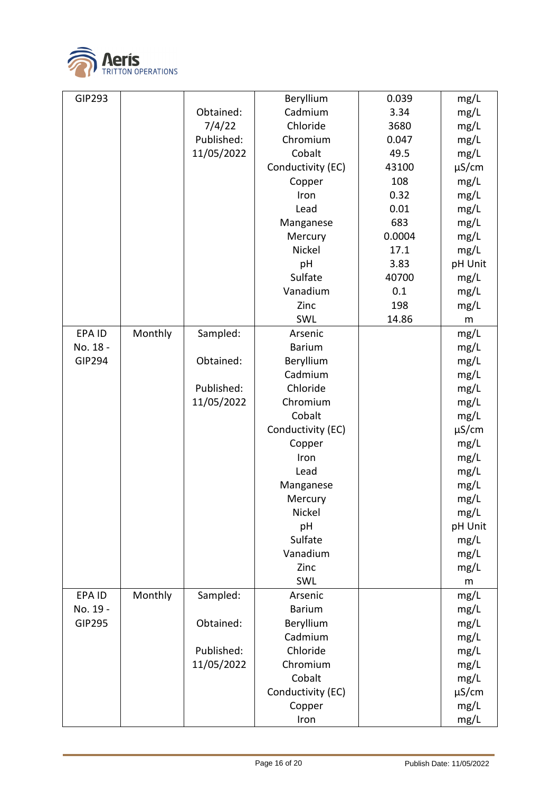

| GIP293        |         |            | Beryllium         | 0.039  | mg/L       |
|---------------|---------|------------|-------------------|--------|------------|
|               |         | Obtained:  | Cadmium           | 3.34   | mg/L       |
|               |         | 7/4/22     | Chloride          | 3680   | mg/L       |
|               |         | Published: | Chromium          | 0.047  | mg/L       |
|               |         | 11/05/2022 | Cobalt            | 49.5   | mg/L       |
|               |         |            | Conductivity (EC) | 43100  | $\mu$ S/cm |
|               |         |            | Copper            | 108    | mg/L       |
|               |         |            | Iron              | 0.32   | mg/L       |
|               |         |            | Lead              | 0.01   | mg/L       |
|               |         |            | Manganese         | 683    | mg/L       |
|               |         |            | Mercury           | 0.0004 | mg/L       |
|               |         |            | Nickel            | 17.1   | mg/L       |
|               |         |            | pH                | 3.83   | pH Unit    |
|               |         |            | Sulfate           | 40700  | mg/L       |
|               |         |            | Vanadium          | 0.1    | mg/L       |
|               |         |            | Zinc              | 198    | mg/L       |
|               |         |            | SWL               | 14.86  | m          |
| EPA ID        | Monthly | Sampled:   | Arsenic           |        | mg/L       |
| No. 18 -      |         |            | <b>Barium</b>     |        | mg/L       |
| <b>GIP294</b> |         | Obtained:  | Beryllium         |        | mg/L       |
|               |         |            | Cadmium           |        | mg/L       |
|               |         | Published: | Chloride          |        | mg/L       |
|               |         | 11/05/2022 | Chromium          |        | mg/L       |
|               |         |            | Cobalt            |        | mg/L       |
|               |         |            | Conductivity (EC) |        | $\mu$ S/cm |
|               |         |            | Copper            |        | mg/L       |
|               |         |            | Iron              |        | mg/L       |
|               |         |            | Lead              |        | mg/L       |
|               |         |            | Manganese         |        | mg/L       |
|               |         |            | Mercury           |        | mg/L       |
|               |         |            | Nickel            |        | mg/L       |
|               |         |            | pH                |        | pH Unit    |
|               |         |            | Sulfate           |        | mg/L       |
|               |         |            | Vanadium          |        | mg/L       |
|               |         |            | Zinc              |        | mg/L       |
|               |         |            | SWL               |        | m          |
| EPA ID        | Monthly | Sampled:   | Arsenic           |        | mg/L       |
| No. 19 -      |         |            | <b>Barium</b>     |        | mg/L       |
| <b>GIP295</b> |         | Obtained:  | Beryllium         |        | mg/L       |
|               |         |            | Cadmium           |        | mg/L       |
|               |         | Published: | Chloride          |        | mg/L       |
|               |         | 11/05/2022 | Chromium          |        | mg/L       |
|               |         |            | Cobalt            |        | mg/L       |
|               |         |            | Conductivity (EC) |        | $\mu$ S/cm |
|               |         |            | Copper            |        | mg/L       |
|               |         |            | Iron              |        | mg/L       |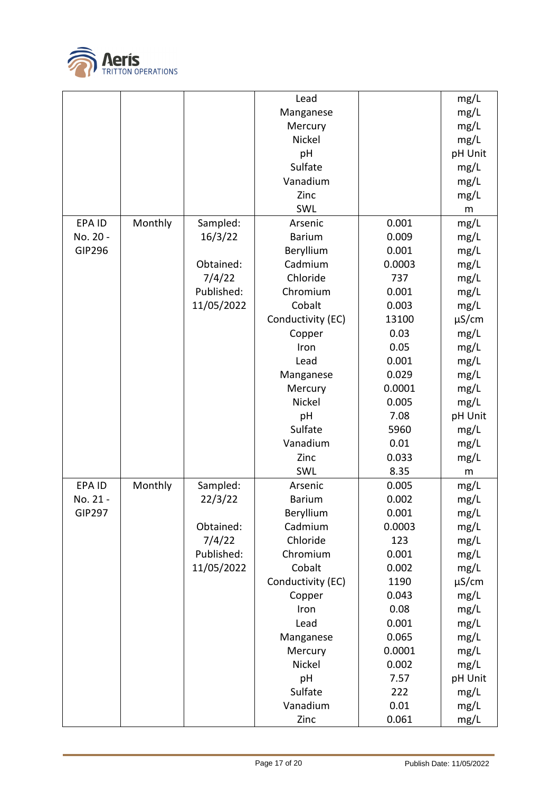

|               |         |            | Lead              |        | mg/L       |
|---------------|---------|------------|-------------------|--------|------------|
|               |         |            | Manganese         |        | mg/L       |
|               |         |            | Mercury           |        | mg/L       |
|               |         |            | Nickel            |        | mg/L       |
|               |         |            | pH                |        | pH Unit    |
|               |         |            | Sulfate           |        | mg/L       |
|               |         |            | Vanadium          |        | mg/L       |
|               |         |            | Zinc              |        | mg/L       |
|               |         |            | SWL               |        | m          |
| EPA ID        | Monthly | Sampled:   | Arsenic           | 0.001  | mg/L       |
| No. 20 -      |         | 16/3/22    | <b>Barium</b>     | 0.009  | mg/L       |
| <b>GIP296</b> |         |            | Beryllium         | 0.001  | mg/L       |
|               |         | Obtained:  | Cadmium           | 0.0003 | mg/L       |
|               |         | 7/4/22     | Chloride          | 737    | mg/L       |
|               |         | Published: | Chromium          | 0.001  | mg/L       |
|               |         | 11/05/2022 | Cobalt            | 0.003  | mg/L       |
|               |         |            | Conductivity (EC) | 13100  | $\mu$ S/cm |
|               |         |            | Copper            | 0.03   | mg/L       |
|               |         |            | Iron              | 0.05   | mg/L       |
|               |         |            | Lead              | 0.001  | mg/L       |
|               |         |            |                   | 0.029  |            |
|               |         |            | Manganese         |        | mg/L       |
|               |         |            | Mercury           | 0.0001 | mg/L       |
|               |         |            | Nickel            | 0.005  | mg/L       |
|               |         |            | pH                | 7.08   | pH Unit    |
|               |         |            | Sulfate           | 5960   | mg/L       |
|               |         |            | Vanadium          | 0.01   | mg/L       |
|               |         |            | Zinc              | 0.033  | mg/L       |
|               |         |            | SWL               | 8.35   | m          |
| <b>EPAID</b>  | Monthly | Sampled:   | Arsenic           | 0.005  | mg/L       |
| No. 21 -      |         | 22/3/22    | <b>Barium</b>     | 0.002  | mg/L       |
| <b>GIP297</b> |         |            | Beryllium         | 0.001  | mg/L       |
|               |         | Obtained:  | Cadmium           | 0.0003 | mg/L       |
|               |         | 7/4/22     | Chloride          | 123    | mg/L       |
|               |         | Published: | Chromium          | 0.001  | mg/L       |
|               |         | 11/05/2022 | Cobalt            | 0.002  | mg/L       |
|               |         |            | Conductivity (EC) | 1190   | $\mu$ S/cm |
|               |         |            | Copper            | 0.043  | mg/L       |
|               |         |            | Iron              | 0.08   | mg/L       |
|               |         |            | Lead              | 0.001  | mg/L       |
|               |         |            | Manganese         | 0.065  | mg/L       |
|               |         |            | Mercury           | 0.0001 | mg/L       |
|               |         |            | Nickel            | 0.002  | mg/L       |
|               |         |            | pH                | 7.57   | pH Unit    |
|               |         |            | Sulfate           | 222    | mg/L       |
|               |         |            | Vanadium          | 0.01   | mg/L       |
|               |         |            | Zinc              | 0.061  | mg/L       |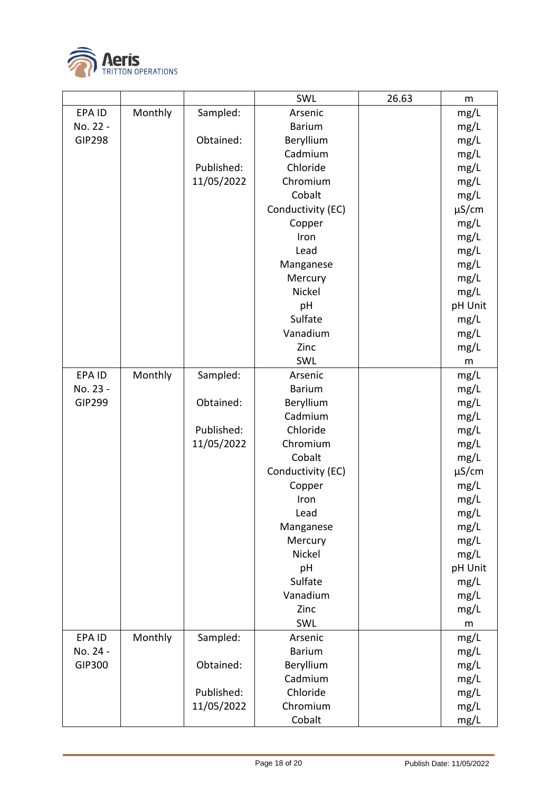

|               |         |            | SWL               | 26.63 | m          |
|---------------|---------|------------|-------------------|-------|------------|
| EPA ID        | Monthly | Sampled:   | Arsenic           |       | mg/L       |
| No. 22 -      |         |            | <b>Barium</b>     |       | mg/L       |
| <b>GIP298</b> |         | Obtained:  | Beryllium         |       | mg/L       |
|               |         |            | Cadmium           |       | mg/L       |
|               |         | Published: | Chloride          |       | mg/L       |
|               |         | 11/05/2022 | Chromium          |       | mg/L       |
|               |         |            | Cobalt            |       | mg/L       |
|               |         |            | Conductivity (EC) |       | $\mu$ S/cm |
|               |         |            | Copper            |       | mg/L       |
|               |         |            | Iron              |       | mg/L       |
|               |         |            | Lead              |       | mg/L       |
|               |         |            | Manganese         |       | mg/L       |
|               |         |            | Mercury           |       | mg/L       |
|               |         |            | Nickel            |       | mg/L       |
|               |         |            | pH                |       | pH Unit    |
|               |         |            | Sulfate           |       | mg/L       |
|               |         |            | Vanadium          |       | mg/L       |
|               |         |            | Zinc              |       | mg/L       |
|               |         |            | SWL               |       | ${\sf m}$  |
| EPA ID        | Monthly | Sampled:   | Arsenic           |       | mg/L       |
| No. 23 -      |         |            | <b>Barium</b>     |       | mg/L       |
| <b>GIP299</b> |         | Obtained:  | Beryllium         |       | mg/L       |
|               |         |            | Cadmium           |       | mg/L       |
|               |         | Published: | Chloride          |       | mg/L       |
|               |         | 11/05/2022 | Chromium          |       | mg/L       |
|               |         |            | Cobalt            |       | mg/L       |
|               |         |            | Conductivity (EC) |       | $\mu$ S/cm |
|               |         |            | Copper            |       | mg/L       |
|               |         |            | Iron              |       | mg/L       |
|               |         |            | Lead              |       | mg/L       |
|               |         |            | Manganese         |       | mg/L       |
|               |         |            | Mercury           |       | mg/L       |
|               |         |            | Nickel            |       | mg/L       |
|               |         |            | pH                |       | pH Unit    |
|               |         |            | Sulfate           |       | mg/L       |
|               |         |            | Vanadium          |       | mg/L       |
|               |         |            | Zinc              |       | mg/L       |
|               |         |            | SWL               |       | m          |
| EPA ID        | Monthly | Sampled:   | Arsenic           |       | mg/L       |
| No. 24 -      |         |            | <b>Barium</b>     |       | mg/L       |
| GIP300        |         | Obtained:  | Beryllium         |       | mg/L       |
|               |         |            | Cadmium           |       | mg/L       |
|               |         | Published: | Chloride          |       | mg/L       |
|               |         | 11/05/2022 | Chromium          |       | mg/L       |
|               |         |            | Cobalt            |       | mg/L       |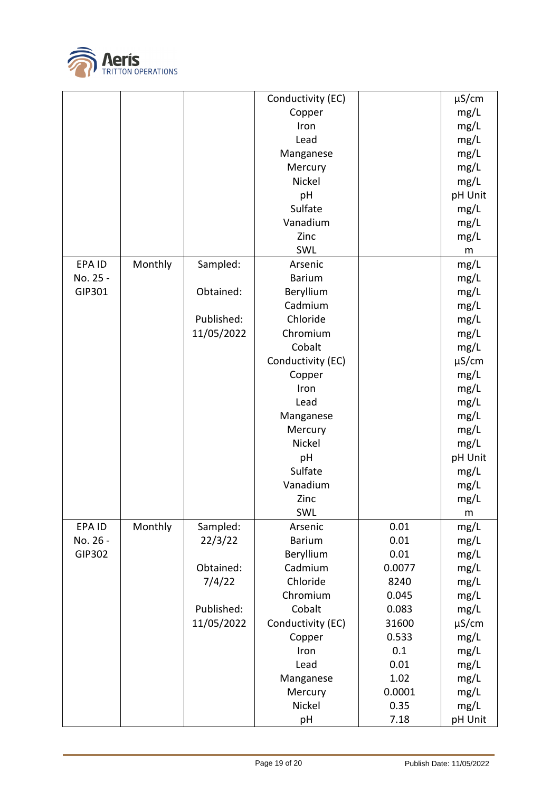

|          |         |            | Conductivity (EC) |        | $\mu$ S/cm |
|----------|---------|------------|-------------------|--------|------------|
|          |         |            | Copper            |        | mg/L       |
|          |         |            | Iron              |        | mg/L       |
|          |         |            | Lead              |        | mg/L       |
|          |         |            | Manganese         |        | mg/L       |
|          |         |            | Mercury           |        | mg/L       |
|          |         |            | Nickel            |        | mg/L       |
|          |         |            | pH                |        | pH Unit    |
|          |         |            | Sulfate           |        | mg/L       |
|          |         |            | Vanadium          |        | mg/L       |
|          |         |            | Zinc              |        | mg/L       |
|          |         |            | SWL               |        | m          |
| EPA ID   | Monthly | Sampled:   | Arsenic           |        | mg/L       |
| No. 25 - |         |            | <b>Barium</b>     |        | mg/L       |
| GIP301   |         | Obtained:  | Beryllium         |        | mg/L       |
|          |         |            | Cadmium           |        | mg/L       |
|          |         | Published: | Chloride          |        | mg/L       |
|          |         | 11/05/2022 | Chromium          |        | mg/L       |
|          |         |            | Cobalt            |        | mg/L       |
|          |         |            | Conductivity (EC) |        | $\mu$ S/cm |
|          |         |            | Copper            |        | mg/L       |
|          |         |            | Iron              |        | mg/L       |
|          |         |            | Lead              |        | mg/L       |
|          |         |            | Manganese         |        | mg/L       |
|          |         |            | Mercury           |        | mg/L       |
|          |         |            | Nickel            |        | mg/L       |
|          |         |            | pH                |        | pH Unit    |
|          |         |            | Sulfate           |        | mg/L       |
|          |         |            | Vanadium          |        | mg/L       |
|          |         |            | Zinc              |        | mg/L       |
|          |         |            | SWL               |        | ${\sf m}$  |
| EPA ID   | Monthly | Sampled:   | Arsenic           | 0.01   | mg/L       |
| No. 26 - |         | 22/3/22    | <b>Barium</b>     | 0.01   | mg/L       |
| GIP302   |         |            | Beryllium         | 0.01   | mg/L       |
|          |         | Obtained:  | Cadmium           | 0.0077 | mg/L       |
|          |         | 7/4/22     | Chloride          | 8240   | mg/L       |
|          |         |            | Chromium          | 0.045  | mg/L       |
|          |         | Published: | Cobalt            | 0.083  | mg/L       |
|          |         | 11/05/2022 | Conductivity (EC) | 31600  | $\mu$ S/cm |
|          |         |            | Copper            | 0.533  | mg/L       |
|          |         |            | Iron              | 0.1    | mg/L       |
|          |         |            | Lead              | 0.01   | mg/L       |
|          |         |            | Manganese         | 1.02   | mg/L       |
|          |         |            | Mercury           | 0.0001 | mg/L       |
|          |         |            | Nickel            | 0.35   | mg/L       |
|          |         |            | pH                | 7.18   | pH Unit    |